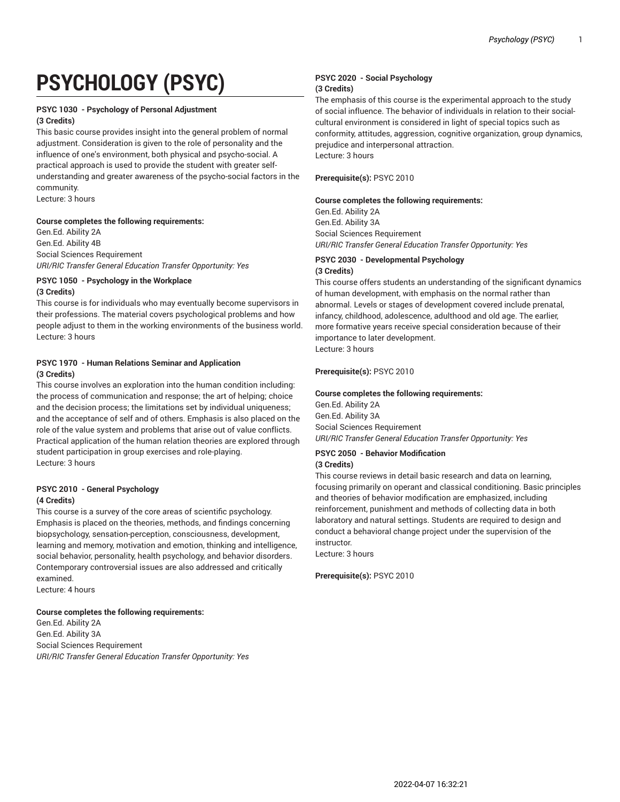# **PSYCHOLOGY (PSYC)**

# **PSYC 1030 - Psychology of Personal Adjustment (3 Credits)**

This basic course provides insight into the general problem of normal adjustment. Consideration is given to the role of personality and the influence of one's environment, both physical and psycho-social. A practical approach is used to provide the student with greater selfunderstanding and greater awareness of the psycho-social factors in the community.

Lecture: 3 hours

# **Course completes the following requirements:**

Gen.Ed. Ability 2A Gen.Ed. Ability 4B Social Sciences Requirement *URI/RIC Transfer General Education Transfer Opportunity: Yes*

# **PSYC 1050 - Psychology in the Workplace (3 Credits)**

This course is for individuals who may eventually become supervisors in their professions. The material covers psychological problems and how people adjust to them in the working environments of the business world. Lecture: 3 hours

#### **PSYC 1970 - Human Relations Seminar and Application (3 Credits)**

This course involves an exploration into the human condition including: the process of communication and response; the art of helping; choice and the decision process; the limitations set by individual uniqueness; and the acceptance of self and of others. Emphasis is also placed on the role of the value system and problems that arise out of value conflicts. Practical application of the human relation theories are explored through student participation in group exercises and role-playing. Lecture: 3 hours

# **PSYC 2010 - General Psychology (4 Credits)**

This course is a survey of the core areas of scientific psychology. Emphasis is placed on the theories, methods, and findings concerning biopsychology, sensation-perception, consciousness, development, learning and memory, motivation and emotion, thinking and intelligence, social behavior, personality, health psychology, and behavior disorders. Contemporary controversial issues are also addressed and critically examined.

Lecture: 4 hours

# **Course completes the following requirements:**

Gen.Ed. Ability 2A Gen.Ed. Ability 3A Social Sciences Requirement *URI/RIC Transfer General Education Transfer Opportunity: Yes*

# **PSYC 2020 - Social Psychology (3 Credits)**

The emphasis of this course is the experimental approach to the study of social influence. The behavior of individuals in relation to their socialcultural environment is considered in light of special topics such as conformity, attitudes, aggression, cognitive organization, group dynamics, prejudice and interpersonal attraction. Lecture: 3 hours

**Prerequisite(s):** PSYC 2010

#### **Course completes the following requirements:**

Gen.Ed. Ability 2A Gen.Ed. Ability 3A Social Sciences Requirement *URI/RIC Transfer General Education Transfer Opportunity: Yes*

# **PSYC 2030 - Developmental Psychology (3 Credits)**

This course offers students an understanding of the significant dynamics of human development, with emphasis on the normal rather than abnormal. Levels or stages of development covered include prenatal, infancy, childhood, adolescence, adulthood and old age. The earlier, more formative years receive special consideration because of their importance to later development. Lecture: 3 hours

# **Prerequisite(s):** PSYC 2010

#### **Course completes the following requirements:**

Gen.Ed. Ability 2A Gen.Ed. Ability 3A Social Sciences Requirement *URI/RIC Transfer General Education Transfer Opportunity: Yes*

#### **PSYC 2050 - Behavior Modification (3 Credits)**

This course reviews in detail basic research and data on learning, focusing primarily on operant and classical conditioning. Basic principles and theories of behavior modification are emphasized, including reinforcement, punishment and methods of collecting data in both laboratory and natural settings. Students are required to design and conduct a behavioral change project under the supervision of the instructor.

Lecture: 3 hours

**Prerequisite(s):** PSYC 2010